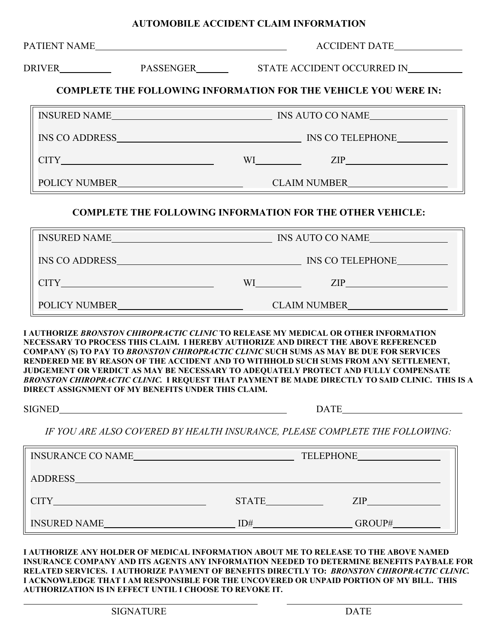## **AUTOMOBILE ACCIDENT CLAIM INFORMATION**

|  |                                                    |                      | UNIUDILIE AUCIDENT CLAIM INFUNMATIUN                                                                                                                                                                                                                                                                                                                                                                                                                                                                                                                           |  |
|--|----------------------------------------------------|----------------------|----------------------------------------------------------------------------------------------------------------------------------------------------------------------------------------------------------------------------------------------------------------------------------------------------------------------------------------------------------------------------------------------------------------------------------------------------------------------------------------------------------------------------------------------------------------|--|
|  |                                                    | <b>ACCIDENT DATE</b> |                                                                                                                                                                                                                                                                                                                                                                                                                                                                                                                                                                |  |
|  |                                                    |                      |                                                                                                                                                                                                                                                                                                                                                                                                                                                                                                                                                                |  |
|  |                                                    |                      | <b>COMPLETE THE FOLLOWING INFORMATION FOR THE VEHICLE YOU WERE IN:</b>                                                                                                                                                                                                                                                                                                                                                                                                                                                                                         |  |
|  |                                                    |                      |                                                                                                                                                                                                                                                                                                                                                                                                                                                                                                                                                                |  |
|  |                                                    |                      |                                                                                                                                                                                                                                                                                                                                                                                                                                                                                                                                                                |  |
|  |                                                    |                      | $CITY$ $XIP$ $ZIP$                                                                                                                                                                                                                                                                                                                                                                                                                                                                                                                                             |  |
|  |                                                    |                      |                                                                                                                                                                                                                                                                                                                                                                                                                                                                                                                                                                |  |
|  |                                                    |                      | <b>COMPLETE THE FOLLOWING INFORMATION FOR THE OTHER VEHICLE:</b>                                                                                                                                                                                                                                                                                                                                                                                                                                                                                               |  |
|  |                                                    |                      |                                                                                                                                                                                                                                                                                                                                                                                                                                                                                                                                                                |  |
|  |                                                    |                      |                                                                                                                                                                                                                                                                                                                                                                                                                                                                                                                                                                |  |
|  |                                                    |                      | $CITY$ $XIP$ $ZIP$                                                                                                                                                                                                                                                                                                                                                                                                                                                                                                                                             |  |
|  |                                                    |                      |                                                                                                                                                                                                                                                                                                                                                                                                                                                                                                                                                                |  |
|  | DIRECT ASSIGNMENT OF MY BENEFITS UNDER THIS CLAIM. |                      | I AUTHORIZE BRONSTON CHIROPRACTIC CLINIC TO RELEASE MY MEDICAL OR OTHER INFORMATION<br>NECESSARY TO PROCESS THIS CLAIM. I HEREBY AUTHORIZE AND DIRECT THE ABOVE REFERENCED<br><b>COMPANY (S) TO PAY TO BRONSTON CHIROPRACTIC CLINIC SUCH SUMS AS MAY BE DUE FOR SERVICES</b><br>RENDERED ME BY REASON OF THE ACCIDENT AND TO WITHHOLD SUCH SUMS FROM ANY SETTLEMENT,<br>JUDGEMENT OR VERDICT AS MAY BE NECESSARY TO ADEQUATELY PROTECT AND FULLY COMPENSATE<br>BRONSTON CHIROPRACTIC CLINIC. I REQUEST THAT PAYMENT BE MADE DIRECTLY TO SAID CLINIC. THIS IS A |  |
|  |                                                    | DATE <b>DATE</b>     |                                                                                                                                                                                                                                                                                                                                                                                                                                                                                                                                                                |  |
|  |                                                    |                      | IF YOU ARE ALSO COVERED BY HEALTH INSURANCE, PLEASE COMPLETE THE FOLLOWING:                                                                                                                                                                                                                                                                                                                                                                                                                                                                                    |  |

| <b>INSURANCE CO NAME</b> |              | <b>TELEPHONE</b> |
|--------------------------|--------------|------------------|
| <b>ADDRESS</b>           |              |                  |
| <b>CITY</b>              | <b>STATE</b> | ZIP.             |
| <b>INSURED NAME</b>      | ID#          | GROUP#           |

**I AUTHORIZE ANY HOLDER OF MEDICAL INFORMATION ABOUT ME TO RELEASE TO THE ABOVE NAMED INSURANCE COMPANY AND ITS AGENTS ANY INFORMATION NEEDED TO DETERMINE BENEFITS PAYBALE FOR RELATED SERVICES. I AUTHORIZE PAYMENT OF BENEFITS DIRECTLY TO:** *BRONSTON CHIROPRACTIC CLINIC.* **I ACKNOWLEDGE THAT I AM RESPONSIBLE FOR THE UNCOVERED OR UNPAID PORTION OF MY BILL. THIS AUTHORIZATION IS IN EFFECT UNTIL I CHOOSE TO REVOKE IT.**

 $\overline{a}$